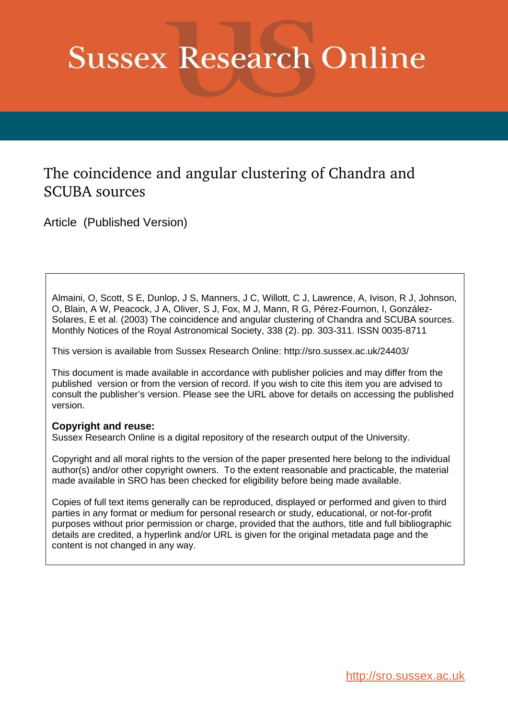# **Sussex Research Online**

# The coincidence and angular clustering of Chandra and SCUBA sources

Article (Published Version)

Almaini, O, Scott, S E, Dunlop, J S, Manners, J C, Willott, C J, Lawrence, A, Ivison, R J, Johnson, O, Blain, A W, Peacock, J A, Oliver, S J, Fox, M J, Mann, R G, Pérez-Fournon, I, González-Solares, E et al. (2003) The coincidence and angular clustering of Chandra and SCUBA sources. Monthly Notices of the Royal Astronomical Society, 338 (2). pp. 303-311. ISSN 0035-8711

This version is available from Sussex Research Online: http://sro.sussex.ac.uk/24403/

This document is made available in accordance with publisher policies and may differ from the published version or from the version of record. If you wish to cite this item you are advised to consult the publisher's version. Please see the URL above for details on accessing the published version.

### **Copyright and reuse:**

Sussex Research Online is a digital repository of the research output of the University.

Copyright and all moral rights to the version of the paper presented here belong to the individual author(s) and/or other copyright owners. To the extent reasonable and practicable, the material made available in SRO has been checked for eligibility before being made available.

Copies of full text items generally can be reproduced, displayed or performed and given to third parties in any format or medium for personal research or study, educational, or not-for-profit purposes without prior permission or charge, provided that the authors, title and full bibliographic details are credited, a hyperlink and/or URL is given for the original metadata page and the content is not changed in any way.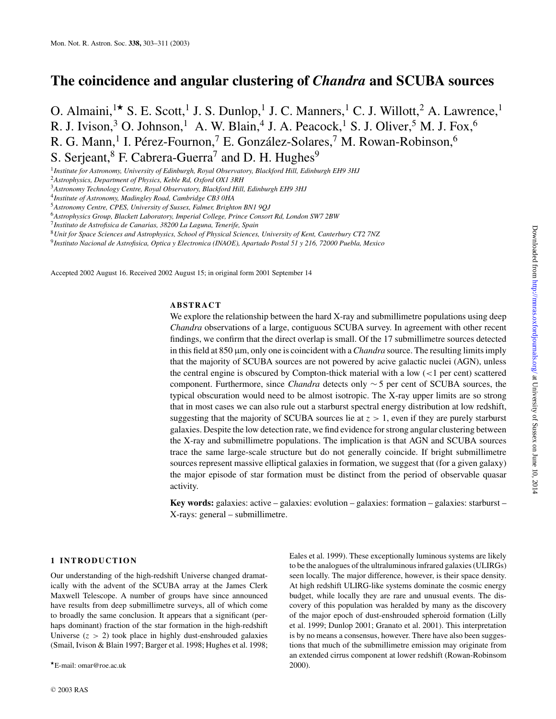## **The coincidence and angular clustering of** *Chandra* **and SCUBA sources**

O. Almaini,<sup>1★</sup> S. E. Scott,<sup>1</sup> J. S. Dunlop,<sup>1</sup> J. C. Manners,<sup>1</sup> C. J. Willott,<sup>2</sup> A. Lawrence,<sup>1</sup> R. J. Ivison,<sup>3</sup> O. Johnson,<sup>1</sup> A. W. Blain,<sup>4</sup> J. A. Peacock,<sup>1</sup> S. J. Oliver,<sup>5</sup> M. J. Fox,<sup>6</sup> R. G. Mann, <sup>1</sup> I. Pérez-Fournon, <sup>7</sup> E. González-Solares, <sup>7</sup> M. Rowan-Robinson, <sup>6</sup> S. Serjeant,  $8$  F. Cabrera-Guerra<sup>7</sup> and D. H. Hughes<sup>9</sup>

1 *Institute for Astronomy, University of Edinburgh, Royal Observatory, Blackford Hill, Edinburgh EH9 3HJ*

<sup>2</sup>*Astrophysics, Department of Physics, Keble Rd, Oxford OX1 3RH*

<sup>3</sup>*Astronomy Technology Centre, Royal Observatory, Blackford Hill, Edinburgh EH9 3HJ*

4 *Institute of Astronomy, Madingley Road, Cambridge CB3 0HA*

<sup>6</sup>*Astrophysics Group, Blackett Laboratory, Imperial College, Prince Consort Rd, London SW7 2BW*

<sup>8</sup>*Unit for Space Sciences and Astrophysics, School of Physical Sciences, University of Kent, Canterbury CT2 7NZ*

9 *Instituto Nacional de Astrofisica, Optica y Electronica (INAOE), Apartado Postal 51 y 216, 72000 Puebla, Mexico*

Accepted 2002 August 16. Received 2002 August 15; in original form 2001 September 14

#### **ABSTRACT**

We explore the relationship between the hard X-ray and submillimetre populations using deep *Chandra* observations of a large, contiguous SCUBA survey. In agreement with other recent findings, we confirm that the direct overlap is small. Of the 17 submillimetre sources detected in this field at 850  $\mu$ m, only one is coincident with a *Chandra* source. The resulting limits imply that the majority of SCUBA sources are not powered by acive galactic nuclei (AGN), unless the central engine is obscured by Compton-thick material with a low  $\left($  < 1 per cent) scattered component. Furthermore, since *Chandra* detects only ∼ 5 per cent of SCUBA sources, the typical obscuration would need to be almost isotropic. The X-ray upper limits are so strong that in most cases we can also rule out a starburst spectral energy distribution at low redshift, suggesting that the majority of SCUBA sources lie at  $z > 1$ , even if they are purely starburst galaxies. Despite the low detection rate, we find evidence for strong angular clustering between the X-ray and submillimetre populations. The implication is that AGN and SCUBA sources trace the same large-scale structure but do not generally coincide. If bright submillimetre sources represent massive elliptical galaxies in formation, we suggest that (for a given galaxy) the major episode of star formation must be distinct from the period of observable quasar activity.

**Key words:** galaxies: active – galaxies: evolution – galaxies: formation – galaxies: starburst – X-rays: general – submillimetre.

#### **1 INTRODUCTION**

Our understanding of the high-redshift Universe changed dramatically with the advent of the SCUBA array at the James Clerk Maxwell Telescope. A number of groups have since announced have results from deep submillimetre surveys, all of which come to broadly the same conclusion. It appears that a significant (perhaps dominant) fraction of the star formation in the high-redshift Universe  $(z > 2)$  took place in highly dust-enshrouded galaxies (Smail, Ivison & Blain 1997; Barger et al. 1998; Hughes et al. 1998; Eales et al. 1999). These exceptionally luminous systems are likely to be the analogues of the ultraluminous infrared galaxies (ULIRGs) seen locally. The major difference, however, is their space density. At high redshift ULIRG-like systems dominate the cosmic energy budget, while locally they are rare and unusual events. The discovery of this population was heralded by many as the discovery of the major epoch of dust-enshrouded spheroid formation (Lilly et al. 1999; Dunlop 2001; Granato et al. 2001). This interpretation is by no means a consensus, however. There have also been suggestions that much of the submillimetre emission may originate from an extended cirrus component at lower redshift (Rowan-Robinsom 2000).

<sup>5</sup>*Astronomy Centre, CPES, University of Sussex, Falmer, Brighton BN1 9QJ*

<sup>7</sup> *Instituto de Astrofisica de Canarias, 38200 La Laguna, Tenerife, Spain*

<sup>⋆</sup>E-mail: omar@roe.ac.uk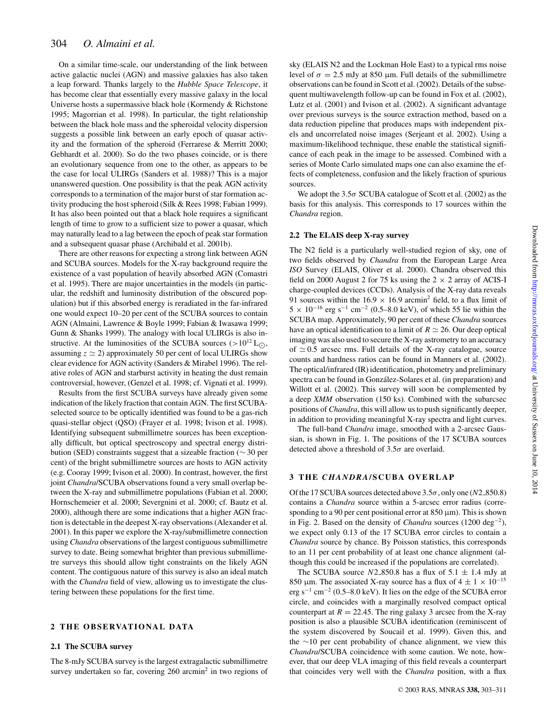On a similar time-scale, our understanding of the link between active galactic nuclei (AGN) and massive galaxies has also taken a leap forward. Thanks largely to the *Hubble Space Telescope*, it has become clear that essentially every massive galaxy in the local Universe hosts a supermassive black hole (Kormendy & Richstone 1995; Magorrian et al. 1998). In particular, the tight relationship between the black hole mass and the spheroidal velocity dispersion suggests a possible link between an early epoch of quasar activity and the formation of the spheroid (Ferrarese & Merritt 2000; Gebhardt et al. 2000). So do the two phases coincide, or is there an evolutionary sequence from one to the other, as appears to be the case for local ULIRGs (Sanders et al. 1988)? This is a major unanswered question. One possibility is that the peak AGN activity corresponds to a termination of the major burst of star formation activity producing the host spheroid (Silk & Rees 1998; Fabian 1999). It has also been pointed out that a black hole requires a significant length of time to grow to a sufficient size to power a quasar, which may naturally lead to a lag between the epoch of peak star formation and a subsequent quasar phase (Archibald et al. 2001b).

There are other reasons for expecting a strong link between AGN and SCUBA sources. Models for the X-ray background require the existence of a vast population of heavily absorbed AGN (Comastri et al. 1995). There are major uncertainties in the models (in particular, the redshift and luminosity distribution of the obscured population) but if this absorbed energy is reradiated in the far-infrared one would expect 10–20 per cent of the SCUBA sources to contain AGN (Almaini, Lawrence & Boyle 1999; Fabian & Iwasawa 1999; Gunn & Shanks 1999). The analogy with local ULIRGs is also instructive. At the luminosities of the SCUBA sources (>10<sup>12</sup> L<sub>∩</sub>, assuming  $z \approx 2$ ) approximately 50 per cent of local ULIRGs show clear evidence for AGN activity (Sanders & Mirabel 1996). The relative roles of AGN and starburst activity in heating the dust remain controversial, however, (Genzel et al. 1998; cf. Vignati et al. 1999).

Results from the first SCUBA surveys have already given some indication of the likely fraction that contain AGN. The first SCUBAselected source to be optically identified was found to be a gas-rich quasi-stellar object (QSO) (Frayer et al. 1998; Ivison et al. 1998). Identifying subsequent submillimetre sources has been exceptionally difficult, but optical spectroscopy and spectral energy distribution (SED) constraints suggest that a sizeable fraction (∼ 30 per cent) of the bright submillimetre sources are hosts to AGN activity (e.g. Cooray 1999; Ivison et al. 2000). In contrast, however, the first joint *Chandra*/SCUBA observations found a very small overlap between the X-ray and submillimetre populations (Fabian et al. 2000; Hornschemeier et al. 2000; Severgnini et al. 2000; cf. Bautz et al. 2000), although there are some indications that a higher AGN fraction is detectable in the deepest X-ray observations (Alexander et al. 2001). In this paper we explore the X-ray/submillimetre connection using *Chandra* observations of the largest contiguous submillimetre survey to date. Being somewhat brighter than previous submillimetre surveys this should allow tight constraints on the likely AGN content. The contiguous nature of this survey is also an ideal match with the *Chandra* field of view, allowing us to investigate the clustering between these populations for the first time.

#### **2 THE OBSERVATIONAL DATA**

#### **2.1 The SCUBA survey**

The 8-mJy SCUBA survey is the largest extragalactic submillimetre survey undertaken so far, covering 260 arcmin<sup>2</sup> in two regions of

sky (ELAIS N2 and the Lockman Hole East) to a typical rms noise level of  $σ = 2.5$  mJy at 850 μm. Full details of the submillimetre observations can be found in Scott et al. (2002). Details of the subsequent multiwavelength follow-up can be found in Fox et al. (2002), Lutz et al. (2001) and Ivison et al. (2002). A significant advantage over previous surveys is the source extraction method, based on a data reduction pipeline that produces maps with independent pixels and uncorrelated noise images (Serjeant et al. 2002). Using a maximum-likelihood technique, these enable the statistical significance of each peak in the image to be assessed. Combined with a series of Monte Carlo simulated maps one can also examine the effects of completeness, confusion and the likely fraction of spurious sources.

We adopt the  $3.5\sigma$  SCUBA catalogue of Scott et al. (2002) as the basis for this analysis. This corresponds to 17 sources within the *Chandra* region.

#### **2.2 The ELAIS deep X-ray survey**

The N2 field is a particularly well-studied region of sky, one of two fields observed by *Chandra* from the European Large Area *ISO* Survey (ELAIS, Oliver et al. 2000). Chandra observed this field on 2000 August 2 for 75 ks using the  $2 \times 2$  array of ACIS-I charge-coupled devices (CCDs). Analysis of the X-ray data reveals 91 sources within the 16.9  $\times$  16.9 arcmin<sup>2</sup> field, to a flux limit of  $5 \times 10^{-16}$  erg s<sup>-1</sup> cm<sup>-2</sup> (0.5–8.0 keV), of which 55 lie within the SCUBA map. Approximately, 90 per cent of these *Chandra* sources have an optical identification to a limit of  $R \simeq 26$ . Our deep optical imaging was also used to secure the X-ray astrometry to an accuracy of  $\simeq$  0.5 arcsec rms. Full details of the X-ray catalogue, source counts and hardness ratios can be found in Manners et al. (2002). The optical/infrared (IR) identification, photometry and preliminary spectra can be found in González-Solares et al. (in preparation) and Willott et al. (2002). This survey will soon be complemented by a deep *XMM* observation (150 ks). Combined with the subarcsec positions of *Chandra*, this will allow us to push significantly deeper, in addition to providing meaningful X-ray spectra and light curves.

The full-band *Chandra* image, smoothed with a 2-arcsec Gaussian, is shown in Fig. 1. The positions of the 17 SCUBA sources detected above a threshold of  $3.5\sigma$  are overlaid.

#### **3 THE** *CHANDRA***/SCUBA OVERLAP**

Of the 17 SCUBA sources detected above 3.5σ, only one (*N*2 850.8) contains a *Chandra* source within a 5-arcsec error radius (corresponding to a 90 per cent positional error at 850  $\mu$ m). This is shown in Fig. 2. Based on the density of *Chandra* sources (1200 deg<sup>−</sup><sup>2</sup> ), we expect only 0.13 of the 17 SCUBA error circles to contain a *Chandra* source by chance. By Poisson statistics, this corresponds to an 11 per cent probability of at least one chance alignment (although this could be increased if the populations are correlated).

The SCUBA source  $N2$ -850.8 has a flux of  $5.1 \pm 1.4$  mJy at 850 µm. The associated X-ray source has a flux of  $4 \pm 1 \times 10^{-15}$ erg s<sup>-1</sup> cm<sup>-2</sup> (0.5–8.0 keV). It lies on the edge of the SCUBA error circle, and coincides with a marginally resolved compact optical counterpart at  $R = 22.45$ . The ring galaxy 3 arcsec from the X-ray position is also a plausible SCUBA identification (reminiscent of the system discovered by Soucail et al. 1999). Given this, and the ∼10 per cent probability of chance alignment, we view this *Chandra*/SCUBA coincidence with some caution. We note, however, that our deep VLA imaging of this field reveals a counterpart that coincides very well with the *Chandra* position, with a flux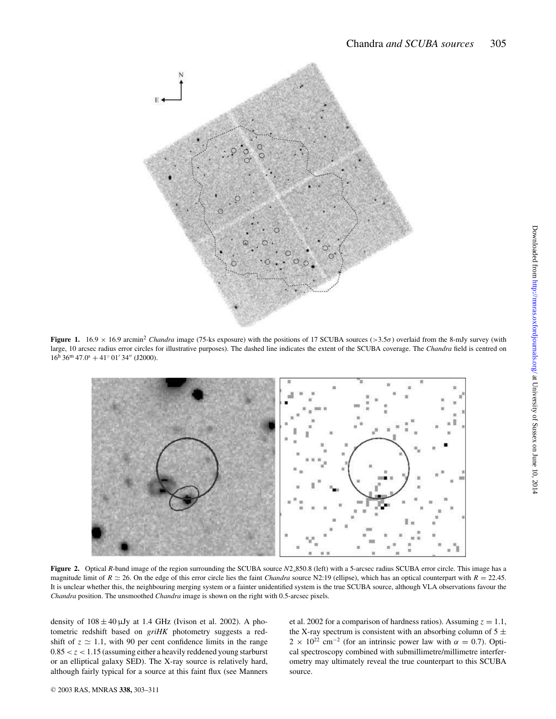

**Figure 1.** 16.9 x 16.9 arcmin<sup>2</sup> *Chandra* image (75-ks exposure) with the positions of 17 SCUBA sources (>3.5 $\sigma$ ) overlaid from the 8-mJy survey (with large, 10 arcsec radius error circles for illustrative purposes). The dashed line indicates the extent of the SCUBA coverage. The *Chandra* field is centred on  $16^{\text{h}} 36^{\text{m}} 47.0^{\text{s}} + 41^{\circ} 01' 34''$  (J2000).



**Figure 2.** Optical *R*-band image of the region surrounding the SCUBA source *N*2 850.8 (left) with a 5-arcsec radius SCUBA error circle. This image has a magnitude limit of  $R \approx 26$ . On the edge of this error circle lies the faint *Chandra* source N2:19 (ellipse), which has an optical counterpart with  $R = 22.45$ . It is unclear whether this, the neighbouring merging system or a fainter unidentified system is the true SCUBA source, although VLA observations favour the *Chandra* position. The unsmoothed *Chandra* image is shown on the right with 0.5-arcsec pixels.

density of  $108 \pm 40 \mu Jy$  at 1.4 GHz (Ivison et al. 2002). A photometric redshift based on *griHK* photometry suggests a redshift of  $z \approx 1.1$ , with 90 per cent confidence limits in the range  $0.85 < z < 1.15$  (assuming either a heavily reddened young starburst or an elliptical galaxy SED). The X-ray source is relatively hard, although fairly typical for a source at this faint flux (see Manners

et al. 2002 for a comparison of hardness ratios). Assuming  $z = 1.1$ , the X-ray spectrum is consistent with an absorbing column of  $5 \pm$  $2 \times 10^{22}$  cm<sup>-2</sup> (for an intrinsic power law with  $\alpha = 0.7$ ). Optical spectroscopy combined with submillimetre/millimetre interferometry may ultimately reveal the true counterpart to this SCUBA source.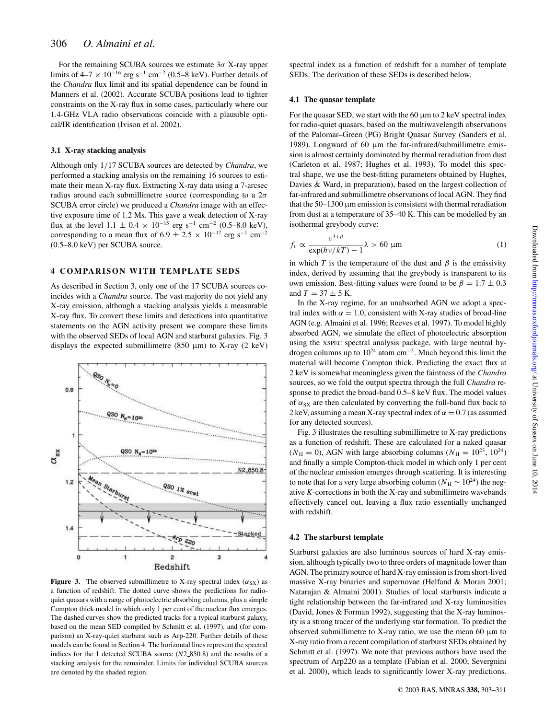For the remaining SCUBA sources we estimate  $3\sigma$  X-ray upper limits of 4–7  $\times$  10<sup>-16</sup> erg s<sup>-1</sup> cm<sup>-2</sup> (0.5–8 keV). Further details of the *Chandra* flux limit and its spatial dependence can be found in Manners et al. (2002). Accurate SCUBA positions lead to tighter constraints on the X-ray flux in some cases, particularly where our 1.4-GHz VLA radio observations coincide with a plausible optical/IR identification (Ivison et al. 2002).

#### **3.1 X-ray stacking analysis**

Although only 1/17 SCUBA sources are detected by *Chandra*, we performed a stacking analysis on the remaining 16 sources to estimate their mean X-ray flux. Extracting X-ray data using a 7-arcsec radius around each submillimetre source (corresponding to a  $2\sigma$ SCUBA error circle) we produced a *Chandra* image with an effective exposure time of 1.2 Ms. This gave a weak detection of X-ray flux at the level  $1.1 \pm 0.4 \times 10^{-15}$  erg s<sup>-1</sup> cm<sup>-2</sup> (0.5–8.0 keV), corresponding to a mean flux of  $6.9 \pm 2.5 \times 10^{-17}$  erg s<sup>-1</sup> cm<sup>-2</sup> (0.5–8.0 keV) per SCUBA source.

#### **4 COMPARISON WITH TEMPLATE SEDS**

As described in Section 3, only one of the 17 SCUBA sources coincides with a *Chandra* source. The vast majority do not yield any X-ray emission, although a stacking analysis yields a measurable X-ray flux. To convert these limits and detections into quantitative statements on the AGN activity present we compare these limits with the observed SEDs of local AGN and starburst galaxies. Fig. 3 displays the expected submillimetre (850  $\mu$ m) to X-ray (2 keV)



**Figure 3.** The observed submillimetre to X-ray spectral index  $(\alpha_{SX})$  as a function of redshift. The dotted curve shows the predictions for radioquiet quasars with a range of photoelectric absorbing columns, plus a simple Compton thick model in which only 1 per cent of the nuclear flux emerges. The dashed curves show the predicted tracks for a typical starburst galaxy, based on the mean SED compiled by Schmitt et al. (1997), and (for comparison) an X-ray-quiet starburst such as Arp-220. Further details of these models can be found in Section 4. The horizontal lines represent the spectral indices for the 1 detected SCUBA source (*N*2 850.8) and the results of a stacking analysis for the remainder. Limits for individual SCUBA sources are denoted by the shaded region.

spectral index as a function of redshift for a number of template SEDs. The derivation of these SEDs is described below.

#### **4.1 The quasar template**

For the quasar SED, we start with the  $60 \mu m$  to 2 keV spectral index for radio-quiet quasars, based on the multiwavelength observations of the Palomar–Green (PG) Bright Quasar Survey (Sanders et al. 1989). Longward of 60 μm the far-infrared/submillimetre emission is almost certainly dominated by thermal reradiation from dust (Carleton et al. 1987; Hughes et al. 1993). To model this spectral shape, we use the best-fitting parameters obtained by Hughes, Davies & Ward, in preparation), based on the largest collection of far-infrared and submillimetre observations of local AGN. They find that the  $50-1300$  µm emission is consistent with thermal reradiation from dust at a temperature of 35–40 K. This can be modelled by an isothermal greybody curve:

$$
f_{\nu} \propto \frac{\nu^{3+\beta}}{\exp(h\nu/kT) - 1} \lambda > 60 \text{ }\mu\text{m}
$$
 (1)

in which *T* is the temperature of the dust and  $\beta$  is the emissivity index, derived by assuming that the greybody is transparent to its own emission. Best-fitting values were found to be  $\beta = 1.7 \pm 0.3$ and  $T = 37 \pm 5$  K.

In the X-ray regime, for an unabsorbed AGN we adopt a spectral index with  $\alpha = 1.0$ , consistent with X-ray studies of broad-line AGN (e.g. Almaini et al. 1996; Reeves et al. 1997). To model highly absorbed AGN, we simulate the effect of photoelectric absorption using the XSPEC spectral analysis package, with large neutral hydrogen columns up to  $10^{24}$  atom cm<sup>-2</sup>. Much beyond this limit the material will become Compton thick. Predicting the exact flux at 2 keV is somewhat meaningless given the faintness of the *Chandra* sources, so we fold the output spectra through the full *Chandra* response to predict the broad-band 0.5–8 keV flux. The model values of  $\alpha_{SX}$  are then calculated by converting the full-band flux back to 2 keV, assuming a mean X-ray spectral index of  $\alpha = 0.7$  (as assumed for any detected sources).

Fig. 3 illustrates the resulting submillimetre to X-ray predictions as a function of redshift. These are calculated for a naked quasar  $(N_{\rm H} = 0)$ , AGN with large absorbing columns  $(N_{\rm H} = 10^{23}, 10^{24})$ and finally a simple Compton-thick model in which only 1 per cent of the nuclear emission emerges through scattering. It is interesting to note that for a very large absorbing column ( $N_H \sim 10^{24}$ ) the negative *K*-corrections in both the X-ray and submillimetre wavebands effectively cancel out, leaving a flux ratio essentially unchanged with redshift.

#### **4.2 The starburst template**

Starburst galaxies are also luminous sources of hard X-ray emission, although typically two to three orders of magnitude lower than AGN. The primary source of hard X-ray emission is from short-lived massive X-ray binaries and supernovae (Helfand & Moran 2001; Natarajan & Almaini 2001). Studies of local starbursts indicate a tight relationship between the far-infrared and X-ray luminosities (David, Jones & Forman 1992), suggesting that the X-ray luminosity is a strong tracer of the underlying star formation. To predict the observed submillimetre to X-ray ratio, we use the mean 60  $\mu$ m to X-ray ratio from a recent compilation of starburst SEDs obtained by Schmitt et al. (1997). We note that previous authors have used the spectrum of Arp220 as a template (Fabian et al. 2000; Severgnini et al. 2000), which leads to significantly lower X-ray predictions.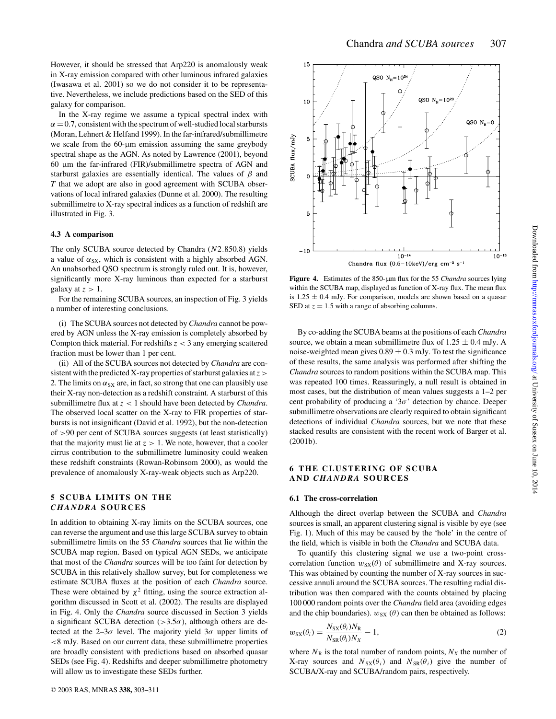However, it should be stressed that Arp220 is anomalously weak in X-ray emission compared with other luminous infrared galaxies (Iwasawa et al. 2001) so we do not consider it to be representative. Nevertheless, we include predictions based on the SED of this galaxy for comparison.

In the X-ray regime we assume a typical spectral index with  $\alpha = 0.7$ , consistent with the spectrum of well-studied local starbursts (Moran, Lehnert & Helfand 1999). In the far-infrared/submillimetre we scale from the 60-µm emission assuming the same greybody spectral shape as the AGN. As noted by Lawrence (2001), beyond 60 µm the far-infrared (FIR)/submillimetre spectra of AGN and starburst galaxies are essentially identical. The values of  $\beta$  and *T* that we adopt are also in good agreement with SCUBA observations of local infrared galaxies (Dunne et al. 2000). The resulting submillimetre to X-ray spectral indices as a function of redshift are illustrated in Fig. 3.

#### **4.3 A comparison**

The only SCUBA source detected by Chandra (*N*2 850.8) yields a value of  $\alpha_{SX}$ , which is consistent with a highly absorbed AGN. An unabsorbed QSO spectrum is strongly ruled out. It is, however, significantly more X-ray luminous than expected for a starburst galaxy at  $z > 1$ .

For the remaining SCUBA sources, an inspection of Fig. 3 yields a number of interesting conclusions.

(i) The SCUBA sources not detected by *Chandra* cannot be powered by AGN unless the X-ray emission is completely absorbed by Compton thick material. For redshifts *z* < 3 any emerging scattered fraction must be lower than 1 per cent.

(ii) All of the SCUBA sources not detected by *Chandra* are consistent with the predicted X-ray properties of starburst galaxies at*z* > 2. The limits on  $\alpha_{SX}$  are, in fact, so strong that one can plausibly use their X-ray non-detection as a redshift constraint. A starburst of this submillimetre flux at *z* < 1 should have been detected by *Chandra*. The observed local scatter on the X-ray to FIR properties of starbursts is not insignificant (David et al. 1992), but the non-detection of >90 per cent of SCUBA sources suggests (at least statistically) that the majority must lie at  $z > 1$ . We note, however, that a cooler cirrus contribution to the submillimetre luminosity could weaken these redshift constraints (Rowan-Robinsom 2000), as would the prevalence of anomalously X-ray-weak objects such as Arp220.

#### **5 SCUBA LIMITS ON THE** *CHANDRA* **SOURCES**

In addition to obtaining X-ray limits on the SCUBA sources, one can reverse the argument and use this large SCUBA survey to obtain submillimetre limits on the 55 *Chandra* sources that lie within the SCUBA map region. Based on typical AGN SEDs, we anticipate that most of the *Chandra* sources will be too faint for detection by SCUBA in this relatively shallow survey, but for completeness we estimate SCUBA fluxes at the position of each *Chandra* source. These were obtained by  $\chi^2$  fitting, using the source extraction algorithm discussed in Scott et al. (2002). The results are displayed in Fig. 4. Only the *Chandra* source discussed in Section 3 yields a significant SCUBA detection ( $>3.5\sigma$ ), although others are detected at the  $2-3\sigma$  level. The majority yield  $3\sigma$  upper limits of <8 mJy. Based on our current data, these submillimetre properties are broadly consistent with predictions based on absorbed quasar SEDs (see Fig. 4). Redshifts and deeper submillimetre photometry will allow us to investigate these SEDs further.

15  $OSO N = 10^8$  $10$ QSO N<sub>H</sub>=0 flux/ $mJy$ SCUBA  $-5$  $-10$  $10^{-14}$  $10<sup>-13</sup>$ Chandra flux  $(0.5-10keV)/erg cm^{-2} s^{-1}$ 

**Figure 4.** Estimates of the 850-um flux for the 55 *Chandra* sources lying within the SCUBA map, displayed as function of X-ray flux. The mean flux is  $1.25 \pm 0.4$  mJy. For comparison, models are shown based on a quasar SED at  $z = 1.5$  with a range of absorbing columns.

By co-adding the SCUBA beams at the positions of each *Chandra* source, we obtain a mean submillimetre flux of  $1.25 \pm 0.4$  mJy. A noise-weighted mean gives  $0.89 \pm 0.3$  mJy. To test the significance of these results, the same analysis was performed after shifting the *Chandra* sources to random positions within the SCUBA map. This was repeated 100 times. Reassuringly, a null result is obtained in most cases, but the distribution of mean values suggests a 1–2 per cent probability of producing a ' $3\sigma$ ' detection by chance. Deeper submillimetre observations are clearly required to obtain significant detections of individual *Chandra* sources, but we note that these stacked results are consistent with the recent work of Barger et al. (2001b).

#### **6 THE CLUSTERING OF SCUBA AND** *CHANDRA* **SOURCES**

#### **6.1 The cross-correlation**

Although the direct overlap between the SCUBA and *Chandra* sources is small, an apparent clustering signal is visible by eye (see Fig. 1). Much of this may be caused by the 'hole' in the centre of the field, which is visible in both the *Chandra* and SCUBA data.

To quantify this clustering signal we use a two-point crosscorrelation function  $w_{SX}(\theta)$  of submillimetre and X-ray sources. This was obtained by counting the number of X-ray sources in successive annuli around the SCUBA sources. The resulting radial distribution was then compared with the counts obtained by placing 100 000 random points over the *Chandra* field area (avoiding edges and the chip boundaries).  $w_{SX}$  ( $\theta$ ) can then be obtained as follows:

$$
w_{SX}(\theta_i) = \frac{N_{SX}(\theta_i)N_R}{N_{SR}(\theta_i)N_X} - 1,
$$
\n(2)

where  $N_R$  is the total number of random points,  $N_X$  the number of X-ray sources and  $N_{SX}(\theta_i)$  and  $N_{SR}(\theta_i)$  give the number of SCUBA/X-ray and SCUBA/random pairs, respectively.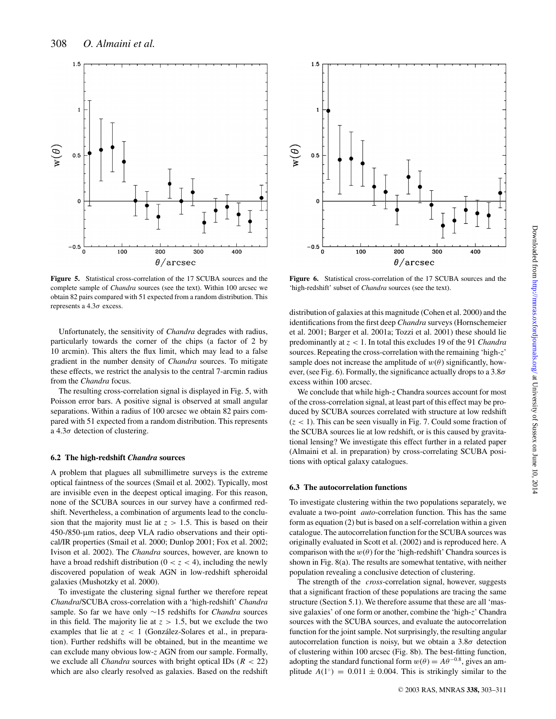

**Figure 5.** Statistical cross-correlation of the 17 SCUBA sources and the complete sample of *Chandra* sources (see the text). Within 100 arcsec we obtain 82 pairs compared with 51 expected from a random distribution. This represents a  $4.3\sigma$  excess.

Unfortunately, the sensitivity of *Chandra* degrades with radius, particularly towards the corner of the chips (a factor of 2 by 10 arcmin). This alters the flux limit, which may lead to a false gradient in the number density of *Chandra* sources. To mitigate these effects, we restrict the analysis to the central 7-arcmin radius from the *Chandra* focus.

The resulting cross-correlation signal is displayed in Fig. 5, with Poisson error bars. A positive signal is observed at small angular separations. Within a radius of 100 arcsec we obtain 82 pairs compared with 51 expected from a random distribution. This represents a  $4.3\sigma$  detection of clustering.

#### **6.2 The high-redshift** *Chandra* **sources**

A problem that plagues all submillimetre surveys is the extreme optical faintness of the sources (Smail et al. 2002). Typically, most are invisible even in the deepest optical imaging. For this reason, none of the SCUBA sources in our survey have a confirmed redshift. Nevertheless, a combination of arguments lead to the conclusion that the majority must lie at  $z > 1.5$ . This is based on their 450-/850-µm ratios, deep VLA radio observations and their optical/IR properties (Smail et al. 2000; Dunlop 2001; Fox et al. 2002; Ivison et al. 2002). The *Chandra* sources, however, are known to have a broad redshift distribution  $(0 < z < 4)$ , including the newly discovered population of weak AGN in low-redshift spheroidal galaxies (Mushotzky et al. 2000).

To investigate the clustering signal further we therefore repeat *Chandra*/SCUBA cross-correlation with a 'high-redshift' *Chandra* sample. So far we have only ∼15 redshifts for *Chandra* sources in this field. The majority lie at  $z > 1.5$ , but we exclude the two examples that lie at  $z < 1$  (González-Solares et al., in preparation). Further redshifts will be obtained, but in the meantime we can exclude many obvious low-*z* AGN from our sample. Formally, we exclude all *Chandra* sources with bright optical IDs (*R* < 22) which are also clearly resolved as galaxies. Based on the redshift



Figure 6. Statistical cross-correlation of the 17 SCUBA sources and the 'high-redshift' subset of *Chandra* sources (see the text).

distribution of galaxies at this magnitude (Cohen et al. 2000) and the identifications from the first deep *Chandra* surveys (Hornschemeier et al. 2001; Barger et al. 2001a; Tozzi et al. 2001) these should lie predominantly at *z* < 1. In total this excludes 19 of the 91 *Chandra* sources. Repeating the cross-correlation with the remaining 'high-*z*' sample does not increase the amplitude of  $w(\theta)$  significantly, however, (see Fig. 6). Formally, the significance actually drops to a  $3.8\sigma$ excess within 100 arcsec.

We conclude that while high-*z* Chandra sources account for most of the cross-correlation signal, at least part of this effect may be produced by SCUBA sources correlated with structure at low redshift  $(z < 1)$ . This can be seen visually in Fig. 7. Could some fraction of the SCUBA sources lie at low redshift, or is this caused by gravitational lensing? We investigate this effect further in a related paper (Almaini et al. in preparation) by cross-correlating SCUBA positions with optical galaxy catalogues.

#### **6.3 The autocorrelation functions**

To investigate clustering within the two populations separately, we evaluate a two-point *auto*-correlation function. This has the same form as equation (2) but is based on a self-correlation within a given catalogue. The autocorrelation function for the SCUBA sources was originally evaluated in Scott et al. (2002) and is reproduced here. A comparison with the  $w(\theta)$  for the 'high-redshift' Chandra sources is shown in Fig. 8(a). The results are somewhat tentative, with neither population revealing a conclusive detection of clustering.

The strength of the *cross*-correlation signal, however, suggests that a significant fraction of these populations are tracing the same structure (Section 5.1). We therefore assume that these are all 'massive galaxies' of one form or another, combine the 'high-*z*' Chandra sources with the SCUBA sources, and evaluate the autocorrelation function for the joint sample. Not surprisingly, the resulting angular autocorrelation function is noisy, but we obtain a  $3.8\sigma$  detection of clustering within 100 arcsec (Fig. 8b). The best-fitting function, adopting the standard functional form  $w(\theta) = A\theta^{-0.8}$ , gives an amplitude  $A(1°) = 0.011 \pm 0.004$ . This is strikingly similar to the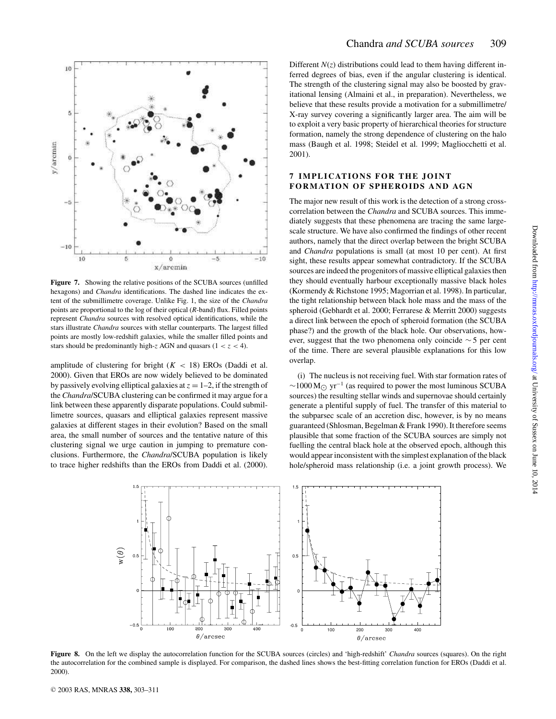

**Figure 7.** Showing the relative positions of the SCUBA sources (unfilled hexagons) and *Chandra* identifications. The dashed line indicates the extent of the submillimetre coverage. Unlike Fig. 1, the size of the *Chandra* points are proportional to the log of their optical (*R*-band) flux. Filled points represent *Chandra* sources with resolved optical identifications, while the stars illustrate *Chandra* sources with stellar counterparts. The largest filled points are mostly low-redshift galaxies, while the smaller filled points and stars should be predominantly high- $\zeta$  AGN and quasars ( $1 < \zeta < 4$ ).

amplitude of clustering for bright  $(K < 18)$  EROs (Daddi et al. 2000). Given that EROs are now widely believed to be dominated by passively evolving elliptical galaxies at  $z = 1-2$ , if the strength of the *Chandra*/SCUBA clustering can be confirmed it may argue for a link between these apparently disparate populations. Could submillimetre sources, quasars and elliptical galaxies represent massive galaxies at different stages in their evolution? Based on the small area, the small number of sources and the tentative nature of this clustering signal we urge caution in jumping to premature conclusions. Furthermore, the *Chandra*/SCUBA population is likely to trace higher redshifts than the EROs from Daddi et al. (2000). Different  $N(z)$  distributions could lead to them having different inferred degrees of bias, even if the angular clustering is identical. The strength of the clustering signal may also be boosted by gravitational lensing (Almaini et al., in preparation). Nevertheless, we believe that these results provide a motivation for a submillimetre/ X-ray survey covering a significantly larger area. The aim will be to exploit a very basic property of hierarchical theories for structure formation, namely the strong dependence of clustering on the halo mass (Baugh et al. 1998; Steidel et al. 1999; Magliocchetti et al. 2001).

#### **7 IMPLICATIONS FOR THE JOINT FORMATION OF SPHEROIDS AND AGN**

The major new result of this work is the detection of a strong crosscorrelation between the *Chandra* and SCUBA sources. This immediately suggests that these phenomena are tracing the same largescale structure. We have also confirmed the findings of other recent authors, namely that the direct overlap between the bright SCUBA and *Chandra* populations is small (at most 10 per cent). At first sight, these results appear somewhat contradictory. If the SCUBA sources are indeed the progenitors of massive elliptical galaxies then they should eventually harbour exceptionally massive black holes (Kormendy & Richstone 1995; Magorrian et al. 1998). In particular, the tight relationship between black hole mass and the mass of the spheroid (Gebhardt et al. 2000; Ferrarese & Merritt 2000) suggests a direct link between the epoch of spheroid formation (the SCUBA phase?) and the growth of the black hole. Our observations, however, suggest that the two phenomena only coincide ∼ 5 per cent of the time. There are several plausible explanations for this low overlap.

(i) The nucleus is not receiving fuel. With star formation rates of  $\sim$ 1000 M<sub> $\odot$ </sub> yr<sup>-1</sup> (as required to power the most luminous SCUBA sources) the resulting stellar winds and supernovae should certainly generate a plentiful supply of fuel. The transfer of this material to the subparsec scale of an accretion disc, however, is by no means guaranteed (Shlosman, Begelman & Frank 1990). It therefore seems plausible that some fraction of the SCUBA sources are simply not fuelling the central black hole at the observed epoch, although this would appear inconsistent with the simplest explanation of the black hole/spheroid mass relationship (i.e. a joint growth process). We



**Figure 8.** On the left we display the autocorrelation function for the SCUBA sources (circles) and 'high-redshift' *Chandra* sources (squares). On the right the autocorrelation for the combined sample is displayed. For comparison, the dashed lines shows the best-fitting correlation function for EROs (Daddi et al. 2000).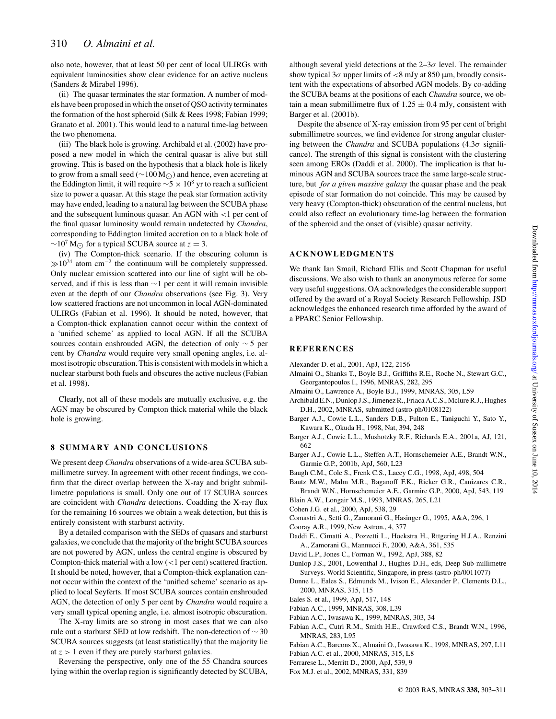also note, however, that at least 50 per cent of local ULIRGs with equivalent luminosities show clear evidence for an active nucleus (Sanders & Mirabel 1996).

(ii) The quasar terminates the star formation. A number of models have been proposed in which the onset of QSO activity terminates the formation of the host spheroid (Silk & Rees 1998; Fabian 1999; Granato et al. 2001). This would lead to a natural time-lag between the two phenomena.

(iii) The black hole is growing. Archibald et al. (2002) have proposed a new model in which the central quasar is alive but still growing. This is based on the hypothesis that a black hole is likely to grow from a small seed (∼100 M⊙) and hence, even accreting at the Eddington limit, it will require  $\sim$ 5 × 10<sup>8</sup> yr to reach a sufficient size to power a quasar. At this stage the peak star formation activity may have ended, leading to a natural lag between the SCUBA phase and the subsequent luminous quasar. An AGN with <1 per cent of the final quasar luminosity would remain undetected by *Chandra*, corresponding to Eddington limited accretion on to a black hole of  $∼10<sup>7</sup> M<sub>⊙</sub>$  for a typical SCUBA source at  $z = 3$ .

(iv) The Compton-thick scenario. If the obscuring column is  $\gg 10^{24}$  atom cm<sup>-2</sup> the continuum will be completely suppressed. Only nuclear emission scattered into our line of sight will be observed, and if this is less than ∼1 per cent it will remain invisible even at the depth of our *Chandra* observations (see Fig. 3). Very low scattered fractions are not uncommon in local AGN-dominated ULIRGs (Fabian et al. 1996). It should be noted, however, that a Compton-thick explanation cannot occur within the context of a 'unified scheme' as applied to local AGN. If all the SCUBA sources contain enshrouded AGN, the detection of only ∼ 5 per cent by *Chandra* would require very small opening angles, i.e. almost isotropic obscuration. This is consistent with models in which a nuclear starburst both fuels and obscures the active nucleus (Fabian et al. 1998).

Clearly, not all of these models are mutually exclusive, e.g. the AGN may be obscured by Compton thick material while the black hole is growing.

#### **8 SUMMARY AND CONCLUSIONS**

We present deep *Chandra* observations of a wide-area SCUBA submillimetre survey. In agreement with other recent findings, we confirm that the direct overlap between the X-ray and bright submillimetre populations is small. Only one out of 17 SCUBA sources are coincident with *Chandra* detections. Coadding the X-ray flux for the remaining 16 sources we obtain a weak detection, but this is entirely consistent with starburst activity.

By a detailed comparison with the SEDs of quasars and starburst galaxies, we conclude that the majority of the bright SCUBA sources are not powered by AGN, unless the central engine is obscured by Compton-thick material with a low  $\left($ <1 per cent) scattered fraction. It should be noted, however, that a Compton-thick explanation cannot occur within the context of the 'unified scheme' scenario as applied to local Seyferts. If most SCUBA sources contain enshrouded AGN, the detection of only 5 per cent by *Chandra* would require a very small typical opening angle, i.e. almost isotropic obscuration.

The X-ray limits are so strong in most cases that we can also rule out a starburst SED at low redshift. The non-detection of ∼ 30 SCUBA sources suggests (at least statistically) that the majority lie at  $z > 1$  even if they are purely starburst galaxies.

Reversing the perspective, only one of the 55 Chandra sources lying within the overlap region is significantly detected by SCUBA, although several yield detections at the  $2-\frac{3\sigma}{\sigma}$  level. The remainder show typical  $3\sigma$  upper limits of  $\langle 8 \text{ mJy} \rangle$  at 850 µm, broadly consistent with the expectations of absorbed AGN models. By co-adding the SCUBA beams at the positions of each *Chandra* source, we obtain a mean submillimetre flux of  $1.25 \pm 0.4$  mJy, consistent with Barger et al. (2001b).

Despite the absence of X-ray emission from 95 per cent of bright submillimetre sources, we find evidence for strong angular clustering between the *Chandra* and SCUBA populations (4.3σ significance). The strength of this signal is consistent with the clustering seen among EROs (Daddi et al. 2000). The implication is that luminous AGN and SCUBA sources trace the same large-scale structure, but *for a given massive galaxy* the quasar phase and the peak episode of star formation do not coincide. This may be caused by very heavy (Compton-thick) obscuration of the central nucleus, but could also reflect an evolutionary time-lag between the formation of the spheroid and the onset of (visible) quasar activity.

#### **ACKNOWLEDGMENTS**

We thank Ian Smail, Richard Ellis and Scott Chapman for useful discussions. We also wish to thank an anonymous referee for some very useful suggestions. OA acknowledges the considerable support offered by the award of a Royal Society Research Fellowship. JSD acknowledges the enhanced research time afforded by the award of a PPARC Senior Fellowship.

#### **REFERENCES**

- Alexander D. et al., 2001, ApJ, 122, 2156
- Almaini O., Shanks T., Boyle B.J., Griffiths R.E., Roche N., Stewart G.C., Georgantopoulos I., 1996, MNRAS, 282, 295
- Almaini O., Lawrence A., Boyle B.J., 1999, MNRAS, 305, L59
- Archibald E.N., Dunlop J.S., Jimenez R., Friaca A.C.S., Mclure R.J., Hughes D.H., 2002, MNRAS, submitted (astro-ph/0108122)
- Barger A.J., Cowie L.L., Sanders D.B., Fulton E., Taniguchi Y., Sato Y., Kawara K., Okuda H., 1998, Nat, 394, 248
- Barger A.J., Cowie L.L., Mushotzky R.F., Richards E.A., 2001a, AJ, 121, 662
- Barger A.J., Cowie L.L., Steffen A.T., Hornschemeier A.E., Brandt W.N., Garmie G.P., 2001b, ApJ, 560, L23
- Baugh C.M., Cole S., Frenk C.S., Lacey C.G., 1998, ApJ, 498, 504
- Bautz M.W., Malm M.R., Baganoff F.K., Ricker G.R., Canizares C.R., Brandt W.N., Hornschemeier A.E., Garmire G.P., 2000, ApJ, 543, 119 Blain A.W., Longair M.S., 1993, MNRAS, 265, L21
- Cohen J.G. et al., 2000, ApJ, 538, 29
- Comastri A., Setti G., Zamorani G., Hasinger G., 1995, A&A, 296, 1
- Cooray A.R., 1999, New Astron., 4, 377
- Daddi E., Cimatti A., Pozzetti L., Hoekstra H., Rttgering H.J.A., Renzini A., Zamorani G., Mannucci F., 2000, A&A, 361, 535
- David L.P., Jones C., Forman W., 1992, ApJ, 388, 82
- Dunlop J.S., 2001, Lowenthal J., Hughes D.H., eds, Deep Sub-millimetre Surveys. World Scientific, Singapore, in press (astro-ph/0011077)
- Dunne L., Eales S., Edmunds M., Ivison E., Alexander P., Clements D.L., 2000, MNRAS, 315, 115
- Eales S. et al., 1999, ApJ, 517, 148
- Fabian A.C., 1999, MNRAS, 308, L39
- Fabian A.C., Iwasawa K., 1999, MNRAS, 303, 34
- Fabian A.C., Cutri R.M., Smith H.E., Crawford C.S., Brandt W.N., 1996, MNRAS, 283, L95
- Fabian A.C., Barcons X., Almaini O., Iwasawa K., 1998, MNRAS, 297, L11
- Fabian A.C. et al., 2000, MNRAS, 315, L8
- Ferrarese L., Merritt D., 2000, ApJ, 539, 9
- Fox M.J. et al., 2002, MNRAS, 331, 839